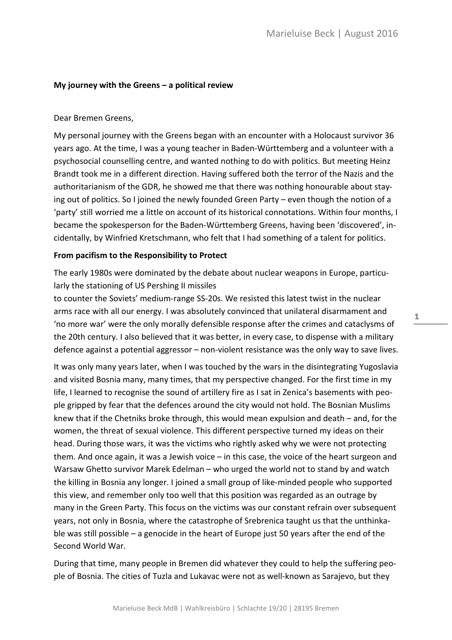#### **My journey with the Greens – a political review**

#### Dear Bremen Greens,

My personal journey with the Greens began with an encounter with a Holocaust survivor 36 years ago. At the time, I was a young teacher in Baden-Württemberg and a volunteer with a psychosocial counselling centre, and wanted nothing to do with politics. But meeting Heinz Brandt took me in a different direction. Having suffered both the terror of the Nazis and the authoritarianism of the GDR, he showed me that there was nothing honourable about staying out of politics. So I joined the newly founded Green Party – even though the notion of a 'party' still worried me a little on account of its historical connotations. Within four months, I became the spokesperson for the Baden-Württemberg Greens, having been 'discovered', incidentally, by Winfried Kretschmann, who felt that I had something of a talent for politics.

#### **From pacifism to the Responsibility to Protect**

The early 1980s were dominated by the debate about nuclear weapons in Europe, particularly the stationing of US Pershing II missiles

to counter the Soviets' medium-range SS-20s. We resisted this latest twist in the nuclear arms race with all our energy. I was absolutely convinced that unilateral disarmament and 'no more war' were the only morally defensible response after the crimes and cataclysms of the 20th century. I also believed that it was better, in every case, to dispense with a military defence against a potential aggressor – non-violent resistance was the only way to save lives.

It was only many years later, when I was touched by the wars in the disintegrating Yugoslavia and visited Bosnia many, many times, that my perspective changed. For the first time in my life, I learned to recognise the sound of artillery fire as I sat in Zenica's basements with people gripped by fear that the defences around the city would not hold. The Bosnian Muslims knew that if the Chetniks broke through, this would mean expulsion and death – and, for the women, the threat of sexual violence. This different perspective turned my ideas on their head. During those wars, it was the victims who rightly asked why we were not protecting them. And once again, it was a Jewish voice – in this case, the voice of the heart surgeon and Warsaw Ghetto survivor Marek Edelman – who urged the world not to stand by and watch the killing in Bosnia any longer. I joined a small group of like-minded people who supported this view, and remember only too well that this position was regarded as an outrage by many in the Green Party. This focus on the victims was our constant refrain over subsequent years, not only in Bosnia, where the catastrophe of Srebrenica taught us that the unthinkable was still possible – a genocide in the heart of Europe just 50 years after the end of the Second World War.

During that time, many people in Bremen did whatever they could to help the suffering people of Bosnia. The cities of Tuzla and Lukavac were not as well-known as Sarajevo, but they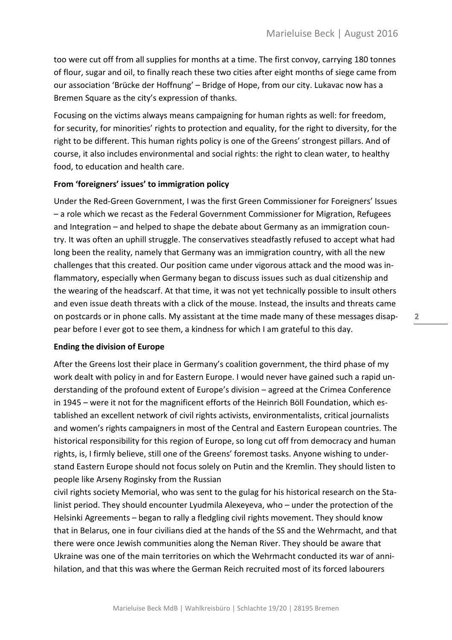too were cut off from all supplies for months at a time. The first convoy, carrying 180 tonnes of flour, sugar and oil, to finally reach these two cities after eight months of siege came from our association 'Brücke der Hoffnung' – Bridge of Hope, from our city. Lukavac now has a Bremen Square as the city's expression of thanks.

Focusing on the victims always means campaigning for human rights as well: for freedom, for security, for minorities' rights to protection and equality, for the right to diversity, for the right to be different. This human rights policy is one of the Greens' strongest pillars. And of course, it also includes environmental and social rights: the right to clean water, to healthy food, to education and health care.

# **From 'foreigners' issues' to immigration policy**

Under the Red-Green Government, I was the first Green Commissioner for Foreigners' Issues – a role which we recast as the Federal Government Commissioner for Migration, Refugees and Integration – and helped to shape the debate about Germany as an immigration country. It was often an uphill struggle. The conservatives steadfastly refused to accept what had long been the reality, namely that Germany was an immigration country, with all the new challenges that this created. Our position came under vigorous attack and the mood was inflammatory, especially when Germany began to discuss issues such as dual citizenship and the wearing of the headscarf. At that time, it was not yet technically possible to insult others and even issue death threats with a click of the mouse. Instead, the insults and threats came on postcards or in phone calls. My assistant at the time made many of these messages disappear before I ever got to see them, a kindness for which I am grateful to this day.

## **Ending the division of Europe**

After the Greens lost their place in Germany's coalition government, the third phase of my work dealt with policy in and for Eastern Europe. I would never have gained such a rapid understanding of the profound extent of Europe's division – agreed at the Crimea Conference in 1945 – were it not for the magnificent efforts of the Heinrich Böll Foundation, which established an excellent network of civil rights activists, environmentalists, critical journalists and women's rights campaigners in most of the Central and Eastern European countries. The historical responsibility for this region of Europe, so long cut off from democracy and human rights, is, I firmly believe, still one of the Greens' foremost tasks. Anyone wishing to understand Eastern Europe should not focus solely on Putin and the Kremlin. They should listen to people like Arseny Roginsky from the Russian

civil rights society Memorial, who was sent to the gulag for his historical research on the Stalinist period. They should encounter Lyudmila Alexeyeva, who – under the protection of the Helsinki Agreements – began to rally a fledgling civil rights movement. They should know that in Belarus, one in four civilians died at the hands of the SS and the Wehrmacht, and that there were once Jewish communities along the Neman River. They should be aware that Ukraine was one of the main territories on which the Wehrmacht conducted its war of annihilation, and that this was where the German Reich recruited most of its forced labourers

 $2^{\sim}$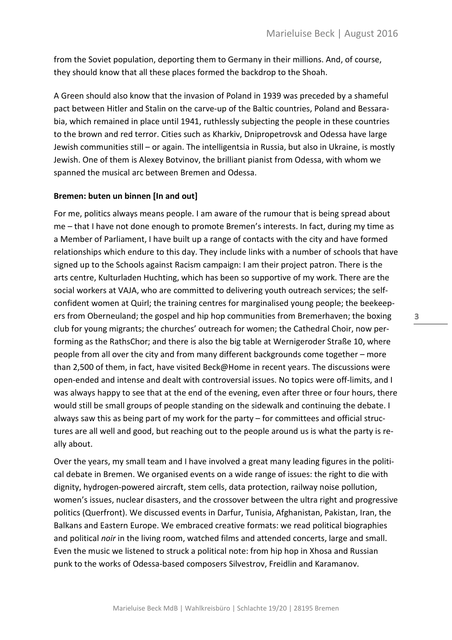from the Soviet population, deporting them to Germany in their millions. And, of course, they should know that all these places formed the backdrop to the Shoah.

A Green should also know that the invasion of Poland in 1939 was preceded by a shameful pact between Hitler and Stalin on the carve-up of the Baltic countries, Poland and Bessarabia, which remained in place until 1941, ruthlessly subjecting the people in these countries to the brown and red terror. Cities such as Kharkiv, Dnipropetrovsk and Odessa have large Jewish communities still – or again. The intelligentsia in Russia, but also in Ukraine, is mostly Jewish. One of them is Alexey Botvinov, the brilliant pianist from Odessa, with whom we spanned the musical arc between Bremen and Odessa.

## **Bremen: buten un binnen [In and out]**

For me, politics always means people. I am aware of the rumour that is being spread about me – that I have not done enough to promote Bremen's interests. In fact, during my time as a Member of Parliament, I have built up a range of contacts with the city and have formed relationships which endure to this day. They include links with a number of schools that have signed up to the Schools against Racism campaign: I am their project patron. There is the arts centre, Kulturladen Huchting, which has been so supportive of my work. There are the social workers at VAJA, who are committed to delivering youth outreach services; the selfconfident women at Quirl; the training centres for marginalised young people; the beekeepers from Oberneuland; the gospel and hip hop communities from Bremerhaven; the boxing club for young migrants; the churches' outreach for women; the Cathedral Choir, now performing as the RathsChor; and there is also the big table at Wernigeroder Straße 10, where people from all over the city and from many different backgrounds come together – more than 2,500 of them, in fact, have visited Beck@Home in recent years. The discussions were open-ended and intense and dealt with controversial issues. No topics were off-limits, and I was always happy to see that at the end of the evening, even after three or four hours, there would still be small groups of people standing on the sidewalk and continuing the debate. I always saw this as being part of my work for the party – for committees and official structures are all well and good, but reaching out to the people around us is what the party is really about.

Over the years, my small team and I have involved a great many leading figures in the political debate in Bremen. We organised events on a wide range of issues: the right to die with dignity, hydrogen-powered aircraft, stem cells, data protection, railway noise pollution, women's issues, nuclear disasters, and the crossover between the ultra right and progressive politics (Querfront). We discussed events in Darfur, Tunisia, Afghanistan, Pakistan, Iran, the Balkans and Eastern Europe. We embraced creative formats: we read political biographies and political *noir* in the living room, watched films and attended concerts, large and small. Even the music we listened to struck a political note: from hip hop in Xhosa and Russian punk to the works of Odessa-based composers Silvestrov, Freidlin and Karamanov.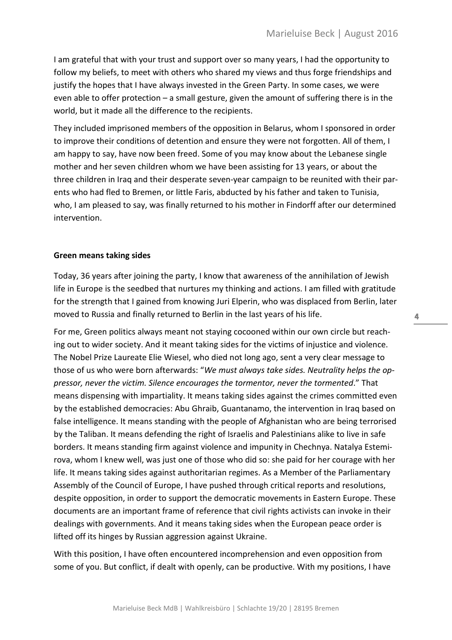I am grateful that with your trust and support over so many years, I had the opportunity to follow my beliefs, to meet with others who shared my views and thus forge friendships and justify the hopes that I have always invested in the Green Party. In some cases, we were even able to offer protection – a small gesture, given the amount of suffering there is in the world, but it made all the difference to the recipients.

They included imprisoned members of the opposition in Belarus, whom I sponsored in order to improve their conditions of detention and ensure they were not forgotten. All of them, I am happy to say, have now been freed. Some of you may know about the Lebanese single mother and her seven children whom we have been assisting for 13 years, or about the three children in Iraq and their desperate seven-year campaign to be reunited with their parents who had fled to Bremen, or little Faris, abducted by his father and taken to Tunisia, who, I am pleased to say, was finally returned to his mother in Findorff after our determined intervention.

## **Green means taking sides**

Today, 36 years after joining the party, I know that awareness of the annihilation of Jewish life in Europe is the seedbed that nurtures my thinking and actions. I am filled with gratitude for the strength that I gained from knowing Juri Elperin, who was displaced from Berlin, later moved to Russia and finally returned to Berlin in the last years of his life.

For me, Green politics always meant not staying cocooned within our own circle but reaching out to wider society. And it meant taking sides for the victims of injustice and violence. The Nobel Prize Laureate Elie Wiesel, who died not long ago, sent a very clear message to those of us who were born afterwards: "*We must always take sides. Neutrality helps the oppressor, never the victim. Silence encourages the tormentor, never the tormented*." That means dispensing with impartiality. It means taking sides against the crimes committed even by the established democracies: Abu Ghraib, Guantanamo, the intervention in Iraq based on false intelligence. It means standing with the people of Afghanistan who are being terrorised by the Taliban. It means defending the right of Israelis and Palestinians alike to live in safe borders. It means standing firm against violence and impunity in Chechnya. Natalya Estemirova, whom I knew well, was just one of those who did so: she paid for her courage with her life. It means taking sides against authoritarian regimes. As a Member of the Parliamentary Assembly of the Council of Europe, I have pushed through critical reports and resolutions, despite opposition, in order to support the democratic movements in Eastern Europe. These documents are an important frame of reference that civil rights activists can invoke in their dealings with governments. And it means taking sides when the European peace order is lifted off its hinges by Russian aggression against Ukraine.

With this position, I have often encountered incomprehension and even opposition from some of you. But conflict, if dealt with openly, can be productive. With my positions, I have